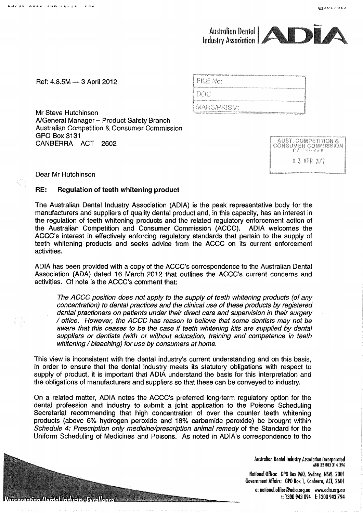## Australian Dental<br>Industry Association

Ref: 4.8.5M - 3 April 2012

Mr Steve Hutchinson A/General Manager - Product Safety Branch **Australian Competition & Consumer Commission GPO Box 3131** CANBERRA ACT 2602

| , M-M-M-MMAS AREASANAERIN ANDA NASA ANARAN DON MANA ANTARANAN DINA MATAMANA NASA ANARAN ANARAN ANARAN ANARAN A  |  |
|-----------------------------------------------------------------------------------------------------------------|--|
| FILE No:                                                                                                        |  |
| вербу при народните до веду председниката подолжения на село у село удиректират на удирентите село постоянно на |  |
| LDOC                                                                                                            |  |
|                                                                                                                 |  |
| ! MARS/PRISM:                                                                                                   |  |

| <b>AUST. COMPETITION &amp;</b> |  |
|--------------------------------|--|
| <b>CONSUMER COMMISSION</b>     |  |
| でき べきにごける                      |  |
| 0 3 APR 2012                   |  |
| <b>Contract</b>                |  |

Dear Mr Hutchinson

Pontacenting Dental Inductric Evrollence

## RE: **Regulation of teeth whitening product**

The Australian Dental Industry Association (ADIA) is the peak representative body for the manufacturers and suppliers of quality dental product and, in this capacity, has an interest in the regulation of teeth whitening products and the related regulatory enforcement action of the Australian Competition and Consumer Commission (ACCC). ADIA welcomes the ACCC's interest in effectively enforcing regulatory standards that pertain to the supply of teeth whitening products and seeks advice from the ACCC on its current enforcement activities.

ADIA has been provided with a copy of the ACCC's correspondence to the Australian Dental Association (ADA) dated 16 March 2012 that outlines the ACCC's current concerns and activities. Of note is the ACCC's comment that:

The ACCC position does not apply to the supply of teeth whitening products (of any concentration) to dental practices and the clinical use of these products by registered dental practioners on patients under their direct care and supervision in their surgery / office. However, the ACCC has reason to believe that some dentists may not be aware that this ceases to be the case if teeth whitening kits are supplied by dental suppliers or dentists (with or without education, training and competence in teeth whitening / bleaching) for use by consumers at home.

This view is inconsistent with the dental industry's current understanding and on this basis, in order to ensure that the dental industry meets its statutory obligations with respect to supply of product, it is important that ADIA understand the basis for this interpretation and the obligations of manufacturers and suppliers so that these can be conveyed to industry.

On a related matter, ADIA notes the ACCC's preferred long-term regulatory option for the dental profession and industry to submit a joint application to the Poisons Scheduling Secretariat recommending that high concentration of over the counter teeth whitening products (above 6% hydrogen peroxide and 18% carbamide peroxide) be brought within Schedule 4: Prescription only medicine/prescription animal remedy of the Standard for the Uniform Scheduling of Medicines and Poisons. As noted in ADIA's correspondence to the

> Australian Dental Industry Association Incorporated ABN 32 003 314 396

National Office: GPO Box 960, Sydney, NSW, 2001 Government Affairs: GPO Box 1, Canberra, ACT, 2601

e: national.office@adia.org.au www.adia.org.au t: 1300 943 094 f: 1300 943 794